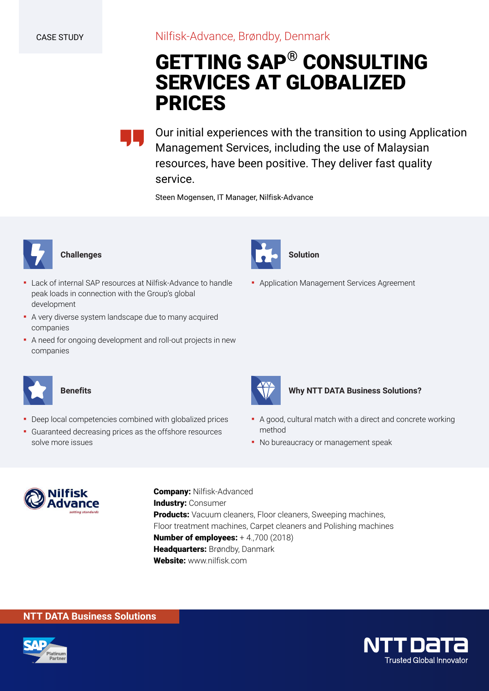# **GETTING SAP® CONSULTING SERVICES AT GLOBALIZED PRICES**

Our initial experiences with the transition to using Application Management Services, including the use of Malaysian resources, have been positive. They deliver fast quality service.

Steen Mogensen, IT Manager, Nilfisk-Advance



## **Challenges**

- **.** Lack of internal SAP resources at Nilfisk-Advance to handle peak loads in connection with the Group's global development
- A very diverse system landscape due to many acquired companies
- A need for ongoing development and roll-out projects in new companies



## **Benefits**

- Deep local competencies combined with globalized prices
- Guaranteed decreasing prices as the offshore resources solve more issues



**• Application Management Services Agreement** 



#### **Why NTT DATA Business Solutions?**

- A good, cultural match with a direct and concrete working method
- No bureaucracy or management speak



**Company:** Nilfisk-Advanced **Industry:** Consumer **Products:** Vacuum cleaners, Floor cleaners, Sweeping machines, Floor treatment machines, Carpet cleaners and Polishing machines **Number of employees:** + 4.,700 (2018) **Headquarters:** Brøndby, Danmark **Website:** www.nilfisk.com

# **NTT DATA Business Solutions**